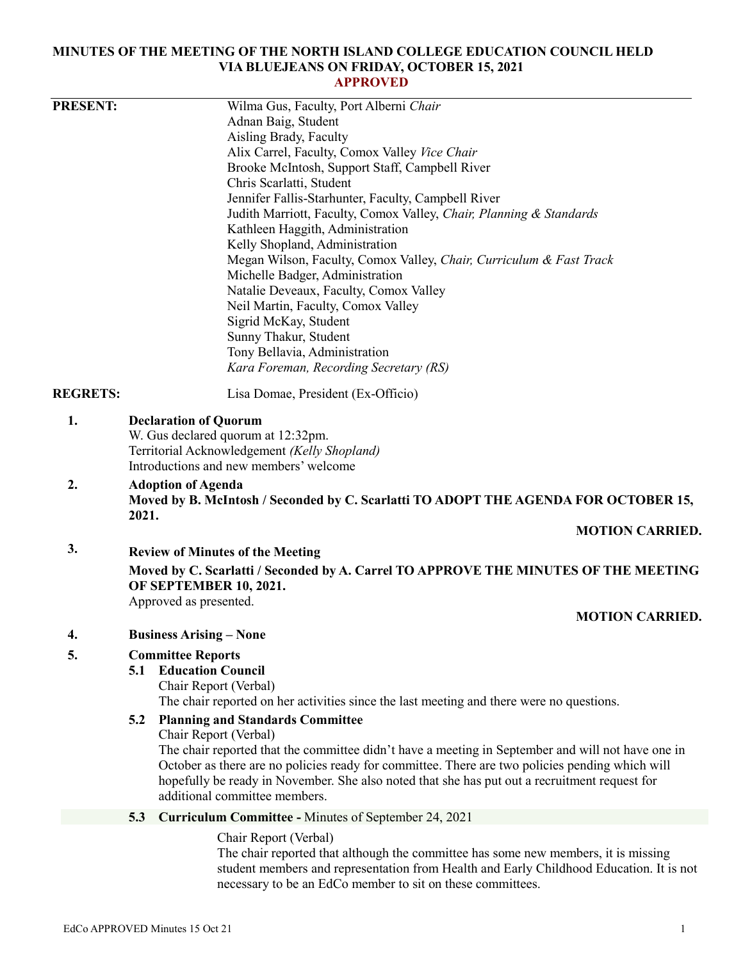### **MINUTES OF THE MEETING OF THE NORTH ISLAND COLLEGE EDUCATION COUNCIL HELD VIA BLUEJEANS ON FRIDAY, OCTOBER 15, 2021 APPROVED**

| <b>PRESENT:</b> | Wilma Gus, Faculty, Port Alberni Chair                                                                                                                                                                                                                                                                |
|-----------------|-------------------------------------------------------------------------------------------------------------------------------------------------------------------------------------------------------------------------------------------------------------------------------------------------------|
|                 | Adnan Baig, Student                                                                                                                                                                                                                                                                                   |
|                 | Aisling Brady, Faculty                                                                                                                                                                                                                                                                                |
|                 | Alix Carrel, Faculty, Comox Valley Vice Chair                                                                                                                                                                                                                                                         |
|                 | Brooke McIntosh, Support Staff, Campbell River                                                                                                                                                                                                                                                        |
|                 | Chris Scarlatti, Student                                                                                                                                                                                                                                                                              |
|                 | Jennifer Fallis-Starhunter, Faculty, Campbell River                                                                                                                                                                                                                                                   |
|                 | Judith Marriott, Faculty, Comox Valley, Chair, Planning & Standards                                                                                                                                                                                                                                   |
|                 | Kathleen Haggith, Administration                                                                                                                                                                                                                                                                      |
|                 | Kelly Shopland, Administration                                                                                                                                                                                                                                                                        |
|                 | Megan Wilson, Faculty, Comox Valley, Chair, Curriculum & Fast Track                                                                                                                                                                                                                                   |
|                 | Michelle Badger, Administration                                                                                                                                                                                                                                                                       |
|                 | Natalie Deveaux, Faculty, Comox Valley                                                                                                                                                                                                                                                                |
|                 | Neil Martin, Faculty, Comox Valley                                                                                                                                                                                                                                                                    |
|                 | Sigrid McKay, Student                                                                                                                                                                                                                                                                                 |
|                 | Sunny Thakur, Student                                                                                                                                                                                                                                                                                 |
|                 | Tony Bellavia, Administration<br>Kara Foreman, Recording Secretary (RS)                                                                                                                                                                                                                               |
|                 |                                                                                                                                                                                                                                                                                                       |
| <b>REGRETS:</b> | Lisa Domae, President (Ex-Officio)                                                                                                                                                                                                                                                                    |
| 2.              | W. Gus declared quorum at 12:32pm.<br>Territorial Acknowledgement (Kelly Shopland)<br>Introductions and new members' welcome<br><b>Adoption of Agenda</b>                                                                                                                                             |
|                 | Moved by B. McIntosh / Seconded by C. Scarlatti TO ADOPT THE AGENDA FOR OCTOBER 15,<br>2021.                                                                                                                                                                                                          |
|                 | <b>MOTION CARRIED.</b>                                                                                                                                                                                                                                                                                |
| 3.              | <b>Review of Minutes of the Meeting</b>                                                                                                                                                                                                                                                               |
|                 | Moved by C. Scarlatti / Seconded by A. Carrel TO APPROVE THE MINUTES OF THE MEETING<br>OF SEPTEMBER 10, 2021.                                                                                                                                                                                         |
|                 | Approved as presented.                                                                                                                                                                                                                                                                                |
|                 | <b>MOTION CARRIED.</b>                                                                                                                                                                                                                                                                                |
| 4.              | <b>Business Arising - None</b>                                                                                                                                                                                                                                                                        |
| 5.              | <b>Committee Reports</b>                                                                                                                                                                                                                                                                              |
|                 | <b>Education Council</b><br>5.1                                                                                                                                                                                                                                                                       |
|                 | Chair Report (Verbal)                                                                                                                                                                                                                                                                                 |
|                 | The chair reported on her activities since the last meeting and there were no questions.                                                                                                                                                                                                              |
|                 | <b>Planning and Standards Committee</b><br>5.2                                                                                                                                                                                                                                                        |
|                 | Chair Report (Verbal)                                                                                                                                                                                                                                                                                 |
|                 | The chair reported that the committee didn't have a meeting in September and will not have one in<br>October as there are no policies ready for committee. There are two policies pending which will<br>hopefully be ready in November. She also noted that she has put out a recruitment request for |
|                 | additional committee members.                                                                                                                                                                                                                                                                         |
|                 | <b>Curriculum Committee - Minutes of September 24, 2021</b><br>5.3                                                                                                                                                                                                                                    |
|                 | Chair Report (Verbal)                                                                                                                                                                                                                                                                                 |
|                 | The chair reported that although the committee has some new members it is missing                                                                                                                                                                                                                     |

The chair reported that although the committee has some new members, it is missing student members and representation from Health and Early Childhood Education. It is not necessary to be an EdCo member to sit on these committees.